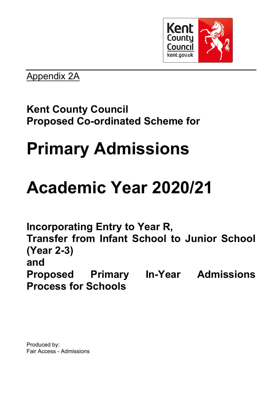

Appendix 2A

### **Kent County Council Proposed Co-ordinated Scheme for**

# **Primary Admissions**

## **Academic Year 2020/21**

**Incorporating Entry to Year R, Transfer from Infant School to Junior School (Year 2-3) and Proposed Primary In-Year Admissions Process for Schools**

Produced by: Fair Access - Admissions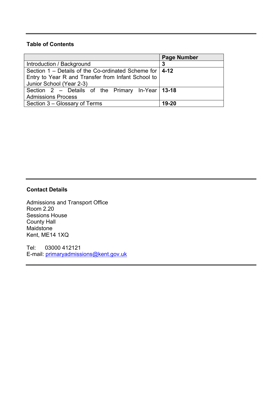#### **Table of Contents**

|                                                             | <b>Page Number</b> |  |
|-------------------------------------------------------------|--------------------|--|
| Introduction / Background                                   | 3                  |  |
| Section 1 – Details of the Co-ordinated Scheme for $ $ 4-12 |                    |  |
| Entry to Year R and Transfer from Infant School to          |                    |  |
| Junior School (Year 2-3)                                    |                    |  |
| Section 2 – Details of the Primary In-Year 13-18            |                    |  |
| <b>Admissions Process</b>                                   |                    |  |
| Section 3 – Glossary of Terms                               | 19-20              |  |

#### **Contact Details**

Admissions and Transport Office Room 2.20 Sessions House County Hall Maidstone Kent, ME14 1XQ

Tel: 03000 412121 E-mail: [primaryadmissions@kent.gov.uk](mailto:primaryadmissions@kent.gov.uk)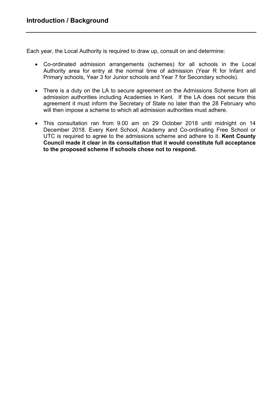Each year, the Local Authority is required to draw up, consult on and determine:

- Co-ordinated admission arrangements (schemes) for all schools in the Local Authority area for entry at the normal time of admission (Year R for Infant and Primary schools, Year 3 for Junior schools and Year 7 for Secondary schools).
- There is a duty on the LA to secure agreement on the Admissions Scheme from all admission authorities including Academies in Kent. If the LA does not secure this agreement it must inform the Secretary of State no later than the 28 February who will then impose a scheme to which all admission authorities must adhere.
- This consultation ran from 9.00 am on 29 October 2018 until midnight on 14 December 2018. Every Kent School, Academy and Co-ordinating Free School or UTC is required to agree to the admissions scheme and adhere to it. **Kent County Council made it clear in its consultation that it would constitute full acceptance to the proposed scheme if schools chose not to respond.**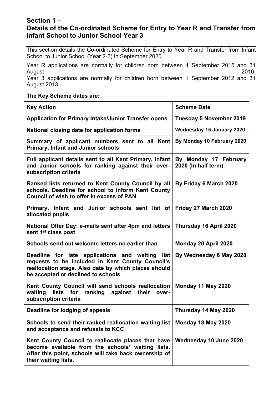#### **Section 1 – Details of the Co-ordinated Scheme for Entry to Year R and Transfer from Infant School to Junior School Year 3**

This section details the Co-ordinated Scheme for Entry to Year R and Transfer from Infant School to Junior School (Year 2-3) in September 2020.

Year R applications are normally for children born between 1 September 2015 and 31 August 2016.

Year 3 applications are normally for children born between 1 September 2012 and 31 August 2013.

#### **The Key Scheme dates are:**

| <b>Key Action</b>                                                                                                                                                                                 | <b>Scheme Date</b>                           |
|---------------------------------------------------------------------------------------------------------------------------------------------------------------------------------------------------|----------------------------------------------|
| <b>Application for Primary Intake/Junior Transfer opens</b>                                                                                                                                       | <b>Tuesday 5 November 2019</b>               |
| National closing date for application forms                                                                                                                                                       | <b>Wednesday 15 January 2020</b>             |
| Summary of applicant numbers sent to all Kent<br><b>Primary, Infant and Junior schools</b>                                                                                                        | By Monday 10 February 2020                   |
| Full applicant details sent to all Kent Primary, Infant<br>and Junior schools for ranking against their over-<br>subscription criteria                                                            | By Monday 17 February<br>2020 (In half term) |
| Ranked lists returned to Kent County Council by all<br>schools. Deadline for school to inform Kent County<br><b>Council of wish to offer in excess of PAN</b>                                     | By Friday 6 March 2020                       |
| Primary, Infant and Junior schools sent list of<br>allocated pupils                                                                                                                               | Friday 27 March 2020                         |
| National Offer Day: e-mails sent after 4pm and letters<br>sent 1 <sup>st</sup> class post                                                                                                         | Thursday 16 April 2020                       |
| Schools send out welcome letters no earlier than                                                                                                                                                  | Monday 20 April 2020                         |
| Deadline for late applications and waiting list<br>requests to be included in Kent County Council's<br>reallocation stage. Also date by which places should<br>be accepted or declined to schools | By Wednesday 6 May 2020                      |
| Kent County Council will send schools reallocation<br>lists for<br>ranking against their<br>waiting<br>over-<br>subscription criteria                                                             | Monday 11 May 2020                           |
| Deadline for lodging of appeals                                                                                                                                                                   | Thursday 14 May 2020                         |
| Schools to send their ranked reallocation waiting list<br>and acceptance and refusals to KCC                                                                                                      | Monday 18 May 2020                           |
| Kent County Council to reallocate places that have<br>become available from the schools' waiting lists.<br>After this point, schools will take back ownership of<br>their waiting lists.          | Wednesday 10 June 2020                       |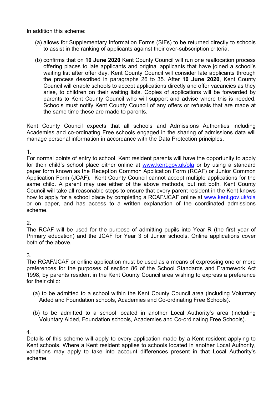In addition this scheme:

- (a) allows for Supplementary Information Forms (SIFs) to be returned directly to schools to assist in the ranking of applicants against their over-subscription criteria.
- (b) confirms that on **10 June 2020** Kent County Council will run one reallocation process offering places to late applicants and original applicants that have joined a school's waiting list after offer day. Kent County Council will consider late applicants through the process described in paragraphs 26 to 35. After **10 June 2020**, Kent County Council will enable schools to accept applications directly and offer vacancies as they arise, to children on their waiting lists. Copies of applications will be forwarded by parents to Kent County Council who will support and advise where this is needed. Schools must notify Kent County Council of any offers or refusals that are made at the same time these are made to parents.

Kent County Council expects that all schools and Admissions Authorities including Academies and co-ordinating Free schools engaged in the sharing of admissions data will manage personal information in accordance with the Data Protection principles.

#### 1.

For normal points of entry to school, Kent resident parents will have the opportunity to apply for their child's school place either online at [www.kent.gov.uk/ola](http://www.kent.gov.uk/ola) or by using a standard paper form known as the Reception Common Application Form (RCAF) or Junior Common Application Form (JCAF). Kent County Council cannot accept multiple applications for the same child. A parent may use either of the above methods, but not both. Kent County Council will take all reasonable steps to ensure that every parent resident in the Kent knows how to apply for a school place by completing a RCAF/JCAF online at [www.kent.gov.uk/ola](http://www.kent.gov.uk/ola) or on paper, and has access to a written explanation of the coordinated admissions scheme.

#### 2.

The RCAF will be used for the purpose of admitting pupils into Year R (the first year of Primary education) and the JCAF for Year 3 of Junior schools. Online applications cover both of the above.

#### 3.

The RCAF/JCAF or online application must be used as a means of expressing one or more preferences for the purposes of section 86 of the School Standards and Framework Act 1998, by parents resident in the Kent County Council area wishing to express a preference for their child:

- (a) to be admitted to a school within the Kent County Council area (including Voluntary Aided and Foundation schools, Academies and Co-ordinating Free Schools).
- (b) to be admitted to a school located in another Local Authority's area (including Voluntary Aided, Foundation schools, Academies and Co-ordinating Free Schools).

#### 4.

Details of this scheme will apply to every application made by a Kent resident applying to Kent schools. Where a Kent resident applies to schools located in another Local Authority, variations may apply to take into account differences present in that Local Authority's scheme.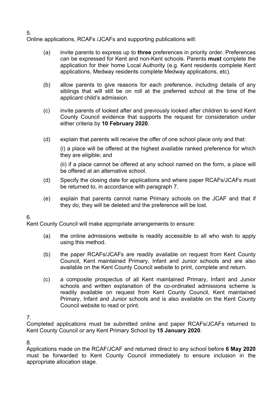Online applications, RCAFs /JCAFs and supporting publications will:

- (a) invite parents to express up to **three** preferences in priority order. Preferences can be expressed for Kent and non-Kent schools. Parents **must** complete the application for their home Local Authority (e.g. Kent residents complete Kent applications, Medway residents complete Medway applications, etc).
- (b) allow parents to give reasons for each preference, including details of any siblings that will still be on roll at the preferred school at the time of the applicant child's admission.
- (c) invite parents of looked after and previously looked after children to send Kent County Council evidence that supports the request for consideration under either criteria by **10 February 2020.**
- (d) explain that parents will receive the offer of one school place only and that:

(i) a place will be offered at the highest available ranked preference for which they are eligible; and

(ii) if a place cannot be offered at any school named on the form, a place will be offered at an alternative school.

- (d) Specify the closing date for applications and where paper RCAFs/JCAFs must be returned to, in accordance with paragraph 7.
- (e) explain that parents cannot name Primary schools on the JCAF and that if they do, they will be deleted and the preference will be lost.

6.

Kent County Council will make appropriate arrangements to ensure:

- (a) the online admissions website is readily accessible to all who wish to apply using this method.
- (b) the paper RCAFs/JCAFs are readily available on request from Kent County Council, Kent maintained Primary, Infant and Junior schools and are also available on the Kent County Council website to print, complete and return.
- (c) a composite prospectus of all Kent maintained Primary, Infant and Junior schools and written explanation of the co-ordinated admissions scheme is readily available on request from Kent County Council, Kent maintained Primary, Infant and Junior schools and is also available on the Kent County Council website to read or print.

7.

Completed applications must be submitted online and paper RCAFs/JCAFs returned to Kent County Council or any Kent Primary School by **15 January 2020**.

8.

Applications made on the RCAF/JCAF and returned direct to any school before **6 May 2020** must be forwarded to Kent County Council immediately to ensure inclusion in the appropriate allocation stage.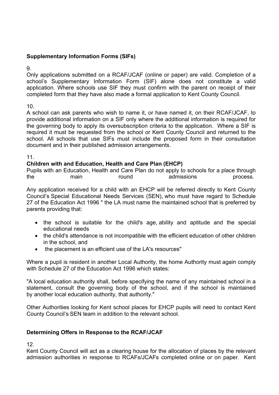#### **Supplementary Information Forms (SIFs)**

9.

Only applications submitted on a RCAF/JCAF (online or paper) are valid. Completion of a school's Supplementary Information Form (SIF) alone does not constitute a valid application. Where schools use SIF they must confirm with the parent on receipt of their completed form that they have also made a formal application to Kent County Council.

10.

A school can ask parents who wish to name it, or have named it, on their RCAF/JCAF, to provide additional information on a SIF only where the additional information is required for the governing body to apply its oversubscription criteria to the application. Where a SIF is required it must be requested from the school or Kent County Council and returned to the school. All schools that use SIFs must include the proposed form in their consultation document and in their published admission arrangements.

11.

#### **Children with and Education, Health and Care Plan (EHCP)**

Pupils with an Education, Health and Care Plan do not apply to schools for a place through the main round admissions process.

Any application received for a child with an EHCP will be referred directly to Kent County Council's Special Educational Needs Services (SEN), who must have regard to Schedule 27 of the Education Act 1996 " the LA must name the maintained school that is preferred by parents providing that:

- the school is suitable for the child's age, ability and aptitude and the special educational needs
- the child's attendance is not incompatible with the efficient education of other children in the school, and
- the placement is an efficient use of the LA's resources"

Where a pupil is resident in another Local Authority, the home Authority must again comply with Schedule 27 of the Education Act 1996 which states:

"A local education authority shall, before specifying the name of any maintained school in a statement, consult the governing body of the school, and if the school is maintained by another local education authority, that authority."

Other Authorities looking for Kent school places for EHCP pupils will need to contact Kent County Council's SEN team in addition to the relevant school.

#### **Determining Offers in Response to the RCAF/JCAF**

12.

Kent County Council will act as a clearing house for the allocation of places by the relevant admission authorities in response to RCAFs/JCAFs completed online or on paper. Kent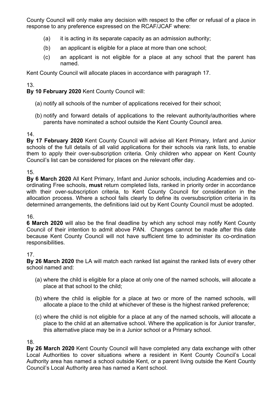County Council will only make any decision with respect to the offer or refusal of a place in response to any preference expressed on the RCAF/JCAF where:

- (a) it is acting in its separate capacity as an admission authority;
- (b) an applicant is eligible for a place at more than one school;
- (c) an applicant is not eligible for a place at any school that the parent has named.

Kent County Council will allocate places in accordance with paragraph 17.

#### 13.

**By 10 February 2020** Kent County Council will:

- (a) notify all schools of the number of applications received for their school;
- (b) notify and forward details of applications to the relevant authority/authorities where parents have nominated a school outside the Kent County Council area.

#### 14.

**By 17 February 2020** Kent County Council will advise all Kent Primary, Infant and Junior schools of the full details of all valid applications for their schools via rank lists, to enable them to apply their over-subscription criteria. Only children who appear on Kent County Council's list can be considered for places on the relevant offer day.

#### 15.

**By 6 March 2020** All Kent Primary, Infant and Junior schools, including Academies and coordinating Free schools, **must** return completed lists, ranked in priority order in accordance with their over-subscription criteria, to Kent County Council for consideration in the allocation process. Where a school fails clearly to define its oversubscription criteria in its determined arrangements, the definitions laid out by Kent County Council must be adopted.

#### 16.

**6 March 2020** will also be the final deadline by which any school may notify Kent County Council of their intention to admit above PAN. Changes cannot be made after this date because Kent County Council will not have sufficient time to administer its co-ordination responsibilities.

#### 17.

**By 26 March 2020** the LA will match each ranked list against the ranked lists of every other school named and:

- (a) where the child is eligible for a place at only one of the named schools, will allocate a place at that school to the child;
- (b) where the child is eligible for a place at two or more of the named schools, will allocate a place to the child at whichever of these is the highest ranked preference;
- (c) where the child is not eligible for a place at any of the named schools, will allocate a place to the child at an alternative school. Where the application is for Junior transfer, this alternative place may be in a Junior school or a Primary school.

#### 18.

**By 26 March 2020** Kent County Council will have completed any data exchange with other Local Authorities to cover situations where a resident in Kent County Council's Local Authority area has named a school outside Kent, or a parent living outside the Kent County Council's Local Authority area has named a Kent school.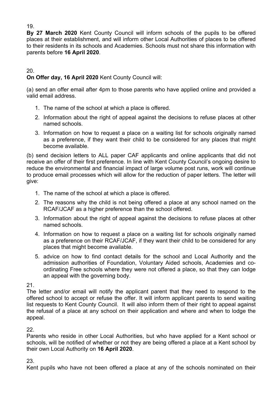**By 27 March 2020** Kent County Council will inform schools of the pupils to be offered places at their establishment, and will inform other Local Authorities of places to be offered to their residents in its schools and Academies. Schools must not share this information with parents before **16 April 2020**.

#### 20.

#### **On Offer day, 16 April 2020** Kent County Council will:

(a) send an offer email after 4pm to those parents who have applied online and provided a valid email address.

- 1. The name of the school at which a place is offered.
- 2. Information about the right of appeal against the decisions to refuse places at other named schools.
- 3. Information on how to request a place on a waiting list for schools originally named as a preference, if they want their child to be considered for any places that might become available.

(b) send decision letters to ALL paper CAF applicants and online applicants that did not receive an offer of their first preference. In line with Kent County Council's ongoing desire to reduce the environmental and financial impact of large volume post runs, work will continue to produce email processes which will allow for the reduction of paper letters. The letter will give:

- 1. The name of the school at which a place is offered.
- 2. The reasons why the child is not being offered a place at any school named on the RCAF/JCAF as a higher preference than the school offered.
- 3. Information about the right of appeal against the decisions to refuse places at other named schools.
- 4. Information on how to request a place on a waiting list for schools originally named as a preference on their RCAF/JCAF, if they want their child to be considered for any places that might become available.
- 5. advice on how to find contact details for the school and Local Authority and the admission authorities of Foundation, Voluntary Aided schools, Academies and coordinating Free schools where they were not offered a place, so that they can lodge an appeal with the governing body.

21.

The letter and/or email will notify the applicant parent that they need to respond to the offered school to accept or refuse the offer. It will inform applicant parents to send waiting list requests to Kent County Council. It will also inform them of their right to appeal against the refusal of a place at any school on their application and where and when to lodge the appeal.

22.

Parents who reside in other Local Authorities, but who have applied for a Kent school or schools, will be notified of whether or not they are being offered a place at a Kent school by their own Local Authority on **16 April 2020**.

#### 23.

Kent pupils who have not been offered a place at any of the schools nominated on their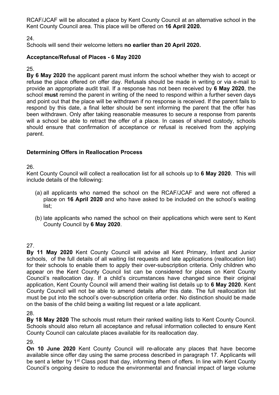RCAF/JCAF will be allocated a place by Kent County Council at an alternative school in the Kent County Council area. This place will be offered on **16 April 2020.**

24.

Schools will send their welcome letters **no earlier than 20 April 2020.**

#### **Acceptance/Refusal of Places - 6 May 2020**

25.

**By 6 May 2020** the applicant parent must inform the school whether they wish to accept or refuse the place offered on offer day. Refusals should be made in writing or via e-mail to provide an appropriate audit trail. If a response has not been received by **6 May 2020**, the school **must** remind the parent in writing of the need to respond within a further seven days and point out that the place will be withdrawn if no response is received. If the parent fails to respond by this date, a final letter should be sent informing the parent that the offer has been withdrawn. Only after taking reasonable measures to secure a response from parents will a school be able to retract the offer of a place. In cases of shared custody, schools should ensure that confirmation of acceptance or refusal is received from the applying parent.

#### **Determining Offers in Reallocation Process**

26.

Kent County Council will collect a reallocation list for all schools up to **6 May 2020**. This will include details of the following:

- (a) all applicants who named the school on the RCAF/JCAF and were not offered a place on **16 April 2020** and who have asked to be included on the school's waiting list;
- (b) late applicants who named the school on their applications which were sent to Kent County Council by **6 May 2020**.

27.

**By 11 May 2020** Kent County Council will advise all Kent Primary, Infant and Junior schools, of the full details of all waiting list requests and late applications (reallocation list) for their schools to enable them to apply their over-subscription criteria. Only children who appear on the Kent County Council list can be considered for places on Kent County Council's reallocation day. If a child's circumstances have changed since their original application, Kent County Council will amend their waiting list details up to **6 May 2020**. Kent County Council will not be able to amend details after this date. The full reallocation list must be put into the school's over-subscription criteria order. No distinction should be made on the basis of the child being a waiting list request or a late applicant.

28.

**By 18 May 2020** The schools must return their ranked waiting lists to Kent County Council. Schools should also return all acceptance and refusal information collected to ensure Kent County Council can calculate places available for its reallocation day.

29.

**On 10 June 2020** Kent County Council will re-allocate any places that have become available since offer day using the same process described in paragraph 17. Applicants will be sent a letter by 1<sup>st</sup> Class post that day, informing them of offers. In line with Kent County Council's ongoing desire to reduce the environmental and financial impact of large volume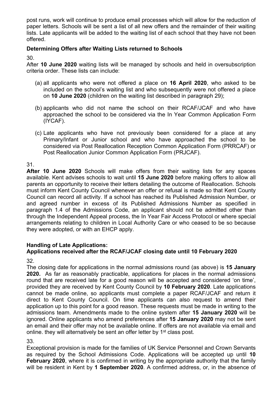post runs, work will continue to produce email processes which will allow for the reduction of paper letters. Schools will be sent a list of all new offers and the remainder of their waiting lists. Late applicants will be added to the waiting list of each school that they have not been offered.

#### **Determining Offers after Waiting Lists returned to Schools**

30.

After **10 June 2020** waiting lists will be managed by schools and held in oversubscription criteria order. These lists can include:

- (a) all applicants who were not offered a place on **16 April 2020**, who asked to be included on the school's waiting list and who subsequently were not offered a place on **10 June 2020** (children on the waiting list described in paragraph 29);
- (b) applicants who did not name the school on their RCAF/JCAF and who have approached the school to be considered via the In Year Common Application Form (IYCAF).
- (c) Late applicants who have not previously been considered for a place at any Primary/Infant or Junior school and who have approached the school to be considered via Post Reallocation Reception Common Application Form (PRRCAF) or Post Reallocation Junior Common Application Form (PRJCAF).

#### 31.

**After 10 June 2020** Schools will make offers from their waiting lists for any spaces available. Kent advises schools to wait until **15 June 2020** before making offers to allow all parents an opportunity to receive their letters detailing the outcome of Reallocation. Schools must inform Kent County Council whenever an offer or refusal is made so that Kent County Council can record all activity. If a school has reached its Published Admission Number, or and agreed number in excess of its Published Admissions Number as specified in paragraph 1.4 of the Admissions Code, an applicant should not be admitted other than through the Independent Appeal process, the In Year Fair Access Protocol or where special arrangements relating to children in Local Authority Care or who ceased to be so because they were adopted, or with an EHCP apply.

#### **Handling of Late Applications:**

### **Applications received after the RCAF/JCAF closing date until 10 February 2020**

32.

The closing date for applications in the normal admissions round (as above) is **15 January 2020.** As far as reasonably practicable, applications for places in the normal admissions round that are received late for a good reason will be accepted and considered 'on time', provided they are received by Kent County Council by **10 February 2020**. Late applications cannot be made online, so applicants must complete a paper RCAF/JCAF and return it direct to Kent County Council. On time applicants can also request to amend their application up to this point for a good reason. These requests must be made in writing to the admissions team. Amendments made to the online system after **15 January 2020** will be ignored. Online applicants who amend preferences after **15 January 2020** may not be sent an email and their offer may not be available online. If offers are not available via email and online. they will alternatively be sent an offer letter by 1<sup>st</sup> class post.

33.

Exceptional provision is made for the families of UK Service Personnel and Crown Servants as required by the School Admissions Code. Applications will be accepted up until **10 February 2020**, where it is confirmed in writing by the appropriate authority that the family will be resident in Kent by **1 September 2020**. A confirmed address, or, in the absence of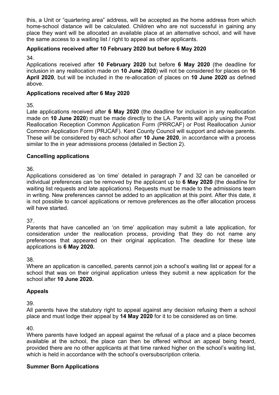this, a Unit or "quartering area" address, will be accepted as the home address from which home-school distance will be calculated. Children who are not successful in gaining any place they want will be allocated an available place at an alternative school, and will have the same access to a waiting list / right to appeal as other applicants.

#### **Applications received after 10 February 2020 but before 6 May 2020**

34.

Applications received after **10 February 2020** but before **6 May 2020** (the deadline for inclusion in any reallocation made on **10 June 2020**) will not be considered for places on **16 April 2020**, but will be included in the re-allocation of places on **10 June 2020** as defined above.

#### **Applications received after 6 May 2020**

35.

Late applications received after **6 May 2020** (the deadline for inclusion in any reallocation made on **10 June 2020**) must be made directly to the LA. Parents will apply using the Post Reallocation Reception Common Application Form (PRRCAF) or Post Reallocation Junior Common Application Form (PRJCAF). Kent County Council will support and advise parents. These will be considered by each school after **10 June 2020**, in accordance with a process similar to the in year admissions process (detailed in Section 2).

#### **Cancelling applications**

36.

Applications considered as 'on time' detailed in paragraph 7 and 32 can be cancelled or individual preferences can be removed by the applicant up to **6 May 2020** (the deadline for waiting list requests and late applications). Requests must be made to the admissions team in writing. New preferences cannot be added to an application at this point. After this date, it is not possible to cancel applications or remove preferences as the offer allocation process will have started.

#### 37.

Parents that have cancelled an 'on time' application may submit a late application, for consideration under the reallocation process, providing that they do not name any preferences that appeared on their original application. The deadline for these late applications is **6 May 2020.**

38.

Where an application is cancelled, parents cannot join a school's waiting list or appeal for a school that was on their original application unless they submit a new application for the school after **10 June 2020.**

#### **Appeals**

39.

All parents have the statutory right to appeal against any decision refusing them a school place and must lodge their appeal by **14 May 2020** for it to be considered as on time.

40.

Where parents have lodged an appeal against the refusal of a place and a place becomes available at the school, the place can then be offered without an appeal being heard, provided there are no other applicants at that time ranked higher on the school's waiting list, which is held in accordance with the school's oversubscription criteria.

#### **Summer Born Applications**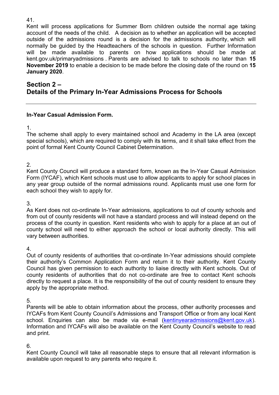Kent will process applications for Summer Born children outside the normal age taking account of the needs of the child. A decision as to whether an application will be accepted outside of the admissions round is a decision for the admissions authority, which will normally be guided by the Headteachers of the schools in question. Further Information will be made available to parents on how applications should be made at kent.gov.uk/primaryadmissions . Parents are advised to talk to schools no later than **15 November 2019** to enable a decision to be made before the closing date of the round on **15 January 2020**.

#### **Section 2 – Details of the Primary In-Year Admissions Process for Schools**

#### **In-Year Casual Admission Form.**

1.

The scheme shall apply to every maintained school and Academy in the LA area (except special schools), which are required to comply with its terms, and it shall take effect from the point of formal Kent County Council Cabinet Determination.

2.

Kent County Council will produce a standard form, known as the In-Year Casual Admission Form (IYCAF), which Kent schools must use to allow applicants to apply for school places in any year group outside of the normal admissions round. Applicants must use one form for each school they wish to apply for.

3.

As Kent does not co-ordinate In-Year admissions, applications to out of county schools and from out of county residents will not have a standard process and will instead depend on the process of the county in question. Kent residents who wish to apply for a place at an out of county school will need to either approach the school or local authority directly. This will vary between authorities.

4.

Out of county residents of authorities that co-ordinate In-Year admissions should complete their authority's Common Application Form and return it to their authority. Kent County Council has given permission to each authority to liaise directly with Kent schools. Out of county residents of authorities that do not co-ordinate are free to contact Kent schools directly to request a place. It is the responsibility of the out of county resident to ensure they apply by the appropriate method.

5.

Parents will be able to obtain information about the process, other authority processes and IYCAFs from Kent County Council's Admissions and Transport Office or from any local Kent school. Enquiries can also be made via e-mail [\(kentinyearadmissions@kent.gov.uk](mailto:kentinyear.admissions@kent.gov.uk)). Information and IYCAFs will also be available on the Kent County Council's website to read and print.

6.

Kent County Council will take all reasonable steps to ensure that all relevant information is available upon request to any parents who require it.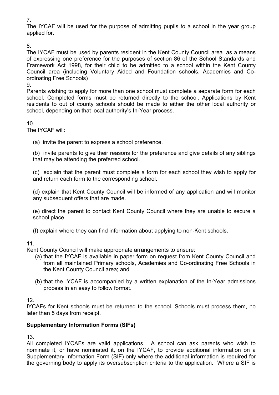7.

The IYCAF will be used for the purpose of admitting pupils to a school in the year group applied for.

#### 8.

The IYCAF must be used by parents resident in the Kent County Council area as a means of expressing one preference for the purposes of section 86 of the School Standards and Framework Act 1998, for their child to be admitted to a school within the Kent County Council area (including Voluntary Aided and Foundation schools, Academies and Coordinating Free Schools)

9.

Parents wishing to apply for more than one school must complete a separate form for each school. Completed forms must be returned directly to the school. Applications by Kent residents to out of county schools should be made to either the other local authority or school, depending on that local authority's In-Year process.

#### 10.

The IYCAF will:

(a) invite the parent to express a school preference.

(b) invite parents to give their reasons for the preference and give details of any siblings that may be attending the preferred school.

(c) explain that the parent must complete a form for each school they wish to apply for and return each form to the corresponding school.

(d) explain that Kent County Council will be informed of any application and will monitor any subsequent offers that are made.

(e) direct the parent to contact Kent County Council where they are unable to secure a school place.

(f) explain where they can find information about applying to non-Kent schools.

#### 11.

Kent County Council will make appropriate arrangements to ensure:

- (a) that the IYCAF is available in paper form on request from Kent County Council and from all maintained Primary schools, Academies and Co-ordinating Free Schools in the Kent County Council area; and
- (b) that the IYCAF is accompanied by a written explanation of the In-Year admissions process in an easy to follow format.

12.

IYCAFs for Kent schools must be returned to the school. Schools must process them, no later than 5 days from receipt.

#### **Supplementary Information Forms (SIFs)**

13.

All completed IYCAFs are valid applications. A school can ask parents who wish to nominate it, or have nominated it, on the IYCAF, to provide additional information on a Supplementary Information Form (SIF) only where the additional information is required for the governing body to apply its oversubscription criteria to the application. Where a SIF is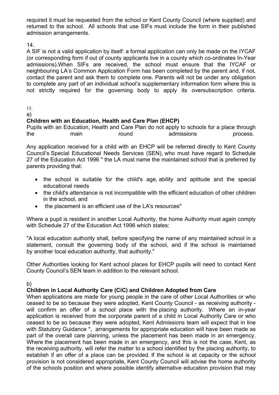required it must be requested from the school or Kent County Council (where supplied) and returned to the school. All schools that use SIFs must include the form in their published admission arrangements.

14.

A SIF is not a valid application by itself: a formal application can only be made on the IYCAF (or corresponding form if out of county applicants live in a county which co-ordinates In-Year admissions).When SIFs are received, the school must ensure that the IYCAF or neighbouring LA's Common Application Form has been completed by the parent and, if not, contact the parent and ask them to complete one. Parents will not be under any obligation to complete any part of an individual school's supplementary information form where this is not strictly required for the governing body to apply its oversubscription criteria.

15.

a)

#### **Children with an Education, Health and Care Plan (EHCP)**

Pupils with an Education, Health and Care Plan do not apply to schools for a place through the main round admissions process.

Any application received for a child with an EHCP will be referred directly to Kent County Council's Special Educational Needs Services (SEN), who must have regard to Schedule 27 of the Education Act 1996 " the LA must name the maintained school that is preferred by parents providing that:

- the school is suitable for the child's age, ability and aptitude and the special educational needs
- the child's attendance is not incompatible with the efficient education of other children in the school, and
- the placement is an efficient use of the LA's resources"

Where a pupil is resident in another Local Authority, the home Authority must again comply with Schedule 27 of the Education Act 1996 which states:

"A local education authority shall, before specifying the name of any maintained school in a statement, consult the governing body of the school, and if the school is maintained by another local education authority, that authority."

Other Authorities looking for Kent school places for EHCP pupils will need to contact Kent County Council's SEN team in addition to the relevant school.

b)

#### **Children in Local Authority Care (CiC) and Children Adopted from Care**

When applications are made for young people in the care of other Local Authorities or who ceased to be so because they were adopted, Kent County Council - as receiving authority will confirm an offer of a school place with the placing authority. Where an in-year application is received from the corporate parent of a child in Local Authority Care or who ceased to be so because they were adopted, Kent Admissions team will expect that in line with Statutory Guidance \*, arrangements for appropriate education will have been made as part of the overall care planning, unless the placement has been made in an emergency. Where the placement has been made in an emergency, and this is not the case, Kent, as the receiving authority, will refer the matter to a school identified by the placing authority, to establish if an offer of a place can be provided. If the school is at capacity or the school provision is not considered appropriate, Kent County Council will advise the home authority of the schools position and where possible identify alternative education provision that may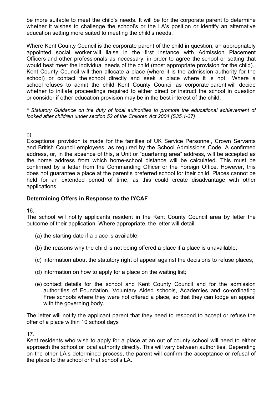be more suitable to meet the child's needs. It will be for the corporate parent to determine whether it wishes to challenge the school's or the LA's position or identify an alternative education setting more suited to meeting the child's needs.

Where Kent County Council is the corporate parent of the child in question, an appropriately appointed social worker will liaise in the first instance with Admission Placement Officers and other professionals as necessary, in order to agree the school or setting that would best meet the individual needs of the child (most appropriate provision for the child). Kent County Council will then allocate a place (where it is the admission authority for the school) or contact the school directly and seek a place where it is not. Where a school refuses to admit the child Kent County Council as corporate parent will decide whether to initiate proceedings required to either direct or instruct the school in question or consider if other education provision may be in the best interest of the child.

*\* Statutory Guidance on the duty of local authorities to promote the educational achievement of looked after children under section 52 of the Children Act 2004 (S35.1-37)*

c)

Exceptional provision is made for the families of UK Service Personnel, Crown Servants and British Council employees, as required by the School Admissions Code. A confirmed address, or, in the absence of this, a Unit or "quartering area" address, will be accepted as the home address from which home-school distance will be calculated. This must be confirmed by a letter from the Commanding Officer or the Foreign Office. However, this does not guarantee a place at the parent's preferred school for their child. Places cannot be held for an extended period of time, as this could create disadvantage with other applications.

#### **Determining Offers in Response to the IYCAF**

16.

The school will notify applicants resident in the Kent County Council area by letter the outcome of their application. Where appropriate, the letter will detail:

- (a) the starting date if a place is available;
- (b) the reasons why the child is not being offered a place if a place is unavailable;
- (c) information about the statutory right of appeal against the decisions to refuse places;
- (d) information on how to apply for a place on the waiting list;
- (e) contact details for the school and Kent County Council and for the admission authorities of Foundation, Voluntary Aided schools, Academies and co-ordinating Free schools where they were not offered a place, so that they can lodge an appeal with the governing body.

The letter will notify the applicant parent that they need to respond to accept or refuse the offer of a place within 10 school days

17.

Kent residents who wish to apply for a place at an out of county school will need to either approach the school or local authority directly. This will vary between authorities. Depending on the other LA's determined process, the parent will confirm the acceptance or refusal of the place to the school or that school's LA.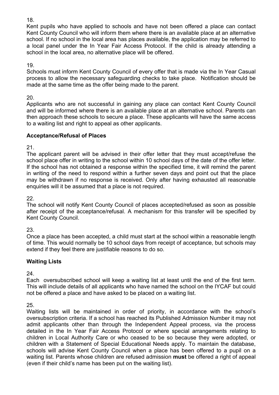Kent pupils who have applied to schools and have not been offered a place can contact Kent County Council who will inform them where there is an available place at an alternative school. If no school in the local area has places available, the application may be referred to a local panel under the In Year Fair Access Protocol. If the child is already attending a school in the local area, no alternative place will be offered.

19.

Schools must inform Kent County Council of every offer that is made via the In Year Casual process to allow the necessary safeguarding checks to take place. Notification should be made at the same time as the offer being made to the parent.

20.

Applicants who are not successful in gaining any place can contact Kent County Council and will be informed where there is an available place at an alternative school. Parents can then approach these schools to secure a place. These applicants will have the same access to a waiting list and right to appeal as other applicants.

#### **Acceptance/Refusal of Places**

21.

The applicant parent will be advised in their offer letter that they must accept/refuse the school place offer in writing to the school within 10 school days of the date of the offer letter. If the school has not obtained a response within the specified time, it will remind the parent in writing of the need to respond within a further seven days and point out that the place may be withdrawn if no response is received. Only after having exhausted all reasonable enquiries will it be assumed that a place is not required.

22.

The school will notify Kent County Council of places accepted/refused as soon as possible after receipt of the acceptance/refusal. A mechanism for this transfer will be specified by Kent County Council.

23.

Once a place has been accepted, a child must start at the school within a reasonable length of time. This would normally be 10 school days from receipt of acceptance, but schools may extend if they feel there are justifiable reasons to do so.

#### **Waiting Lists**

24.

Each oversubscribed school will keep a waiting list at least until the end of the first term. This will include details of all applicants who have named the school on the IYCAF but could not be offered a place and have asked to be placed on a waiting list.

25.

Waiting lists will be maintained in order of priority, in accordance with the school's oversubscription criteria. If a school has reached its Published Admission Number it may not admit applicants other than through the Independent Appeal process, via the process detailed in the In Year Fair Access Protocol or where special arrangements relating to children in Local Authority Care or who ceased to be so because they were adopted, or children with a Statement of Special Educational Needs apply. To maintain the database, schools will advise Kent County Council when a place has been offered to a pupil on a waiting list. Parents whose children are refused admission **must** be offered a right of appeal (even if their child's name has been put on the waiting list).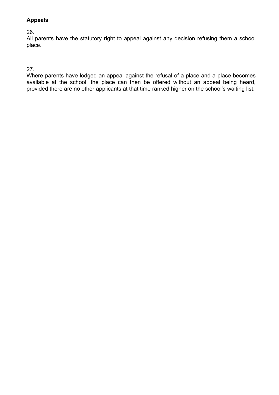#### **Appeals**

#### 26.

All parents have the statutory right to appeal against any decision refusing them a school place.

#### 27.

Where parents have lodged an appeal against the refusal of a place and a place becomes available at the school, the place can then be offered without an appeal being heard, provided there are no other applicants at that time ranked higher on the school's waiting list.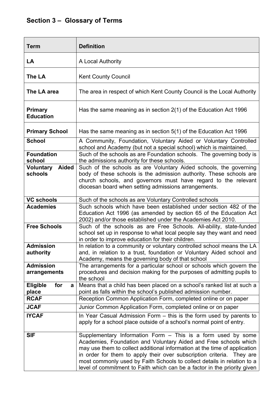| <b>Term</b>                          | <b>Definition</b>                                                                                                                                                                                                                                                                                                                                                                                                                             |
|--------------------------------------|-----------------------------------------------------------------------------------------------------------------------------------------------------------------------------------------------------------------------------------------------------------------------------------------------------------------------------------------------------------------------------------------------------------------------------------------------|
| LA                                   | A Local Authority                                                                                                                                                                                                                                                                                                                                                                                                                             |
| The LA                               | <b>Kent County Council</b>                                                                                                                                                                                                                                                                                                                                                                                                                    |
| The LA area                          | The area in respect of which Kent County Council is the Local Authority                                                                                                                                                                                                                                                                                                                                                                       |
| <b>Primary</b><br><b>Education</b>   | Has the same meaning as in section 2(1) of the Education Act 1996                                                                                                                                                                                                                                                                                                                                                                             |
| <b>Primary School</b>                | Has the same meaning as in section 5(1) of the Education Act 1996                                                                                                                                                                                                                                                                                                                                                                             |
| <b>School</b>                        | A Community, Foundation, Voluntary Aided or Voluntary Controlled<br>school and Academy (but not a special school) which is maintained.                                                                                                                                                                                                                                                                                                        |
| <b>Foundation</b><br>school          | Such of the schools as are Foundation schools. The governing body is<br>the admissions authority for these schools.                                                                                                                                                                                                                                                                                                                           |
| Aided<br><b>Voluntary</b><br>schools | Such of the schools as are Voluntary Aided schools, the governing<br>body of these schools is the admission authority. These schools are<br>church schools, and governors must have regard to the relevant<br>diocesan board when setting admissions arrangements.                                                                                                                                                                            |
| <b>VC schools</b>                    | Such of the schools as are Voluntary Controlled schools                                                                                                                                                                                                                                                                                                                                                                                       |
| <b>Academies</b>                     | Such schools which have been established under section 482 of the<br>Education Act 1996 (as amended by section 65 of the Education Act<br>2002) and/or those established under the Academies Act 2010.                                                                                                                                                                                                                                        |
| <b>Free Schools</b>                  | Such of the schools as are Free Schools. All-ability, state-funded<br>school set up in response to what local people say they want and need<br>in order to improve education for their children.                                                                                                                                                                                                                                              |
| <b>Admission</b><br>authority        | In relation to a community or voluntary controlled school means the LA<br>and, in relation to a trust, foundation or Voluntary Aided school and<br>Academy, means the governing body of that school                                                                                                                                                                                                                                           |
| <b>Admission</b><br>arrangements     | The arrangements for a particular school or schools which govern the<br>procedures and decision making for the purposes of admitting pupils to<br>the school                                                                                                                                                                                                                                                                                  |
| <b>Eligible</b><br>for<br>a<br>place | Means that a child has been placed on a school's ranked list at such a<br>point as falls within the school's published admission number.                                                                                                                                                                                                                                                                                                      |
| <b>RCAF</b>                          | Reception Common Application Form, completed online or on paper                                                                                                                                                                                                                                                                                                                                                                               |
| <b>JCAF</b>                          | Junior Common Application Form, completed online or on paper                                                                                                                                                                                                                                                                                                                                                                                  |
| <b>IYCAF</b>                         | In Year Casual Admission Form - this is the form used by parents to<br>apply for a school place outside of a school's normal point of entry.                                                                                                                                                                                                                                                                                                  |
| <b>SIF</b>                           | Supplementary Information Form - This is a form used by some<br>Academies, Foundation and Voluntary Aided and Free schools which<br>may use them to collect additional information at the time of application<br>in order for them to apply their over subscription criteria. They are<br>most commonly used by Faith Schools to collect details in relation to a<br>level of commitment to Faith which can be a factor in the priority given |